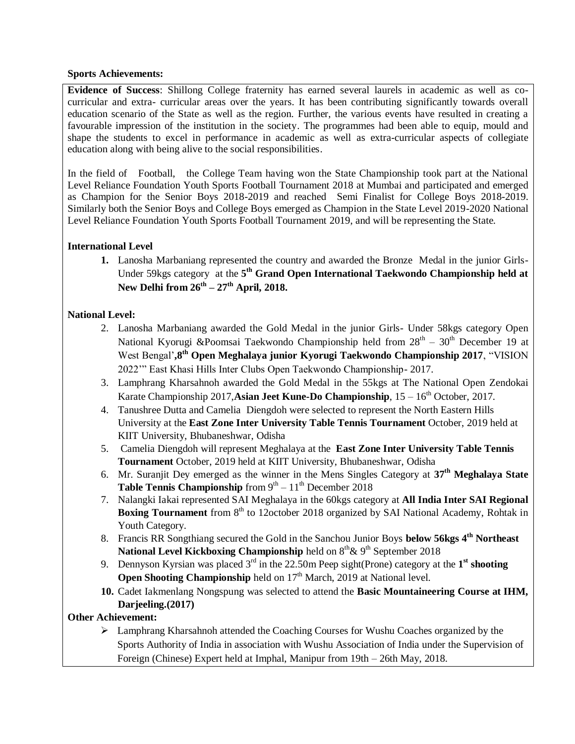#### **Sports Achievements:**

**Evidence of Success**: Shillong College fraternity has earned several laurels in academic as well as cocurricular and extra- curricular areas over the years. It has been contributing significantly towards overall education scenario of the State as well as the region. Further, the various events have resulted in creating a favourable impression of the institution in the society. The programmes had been able to equip, mould and shape the students to excel in performance in academic as well as extra-curricular aspects of collegiate education along with being alive to the social responsibilities.

In the field of Football, the College Team having won the State Championship took part at the National Level Reliance Foundation Youth Sports Football Tournament 2018 at Mumbai and participated and emerged as Champion for the Senior Boys 2018-2019 and reached Semi Finalist for College Boys 2018-2019. Similarly both the Senior Boys and College Boys emerged as Champion in the State Level 2019-2020 National Level Reliance Foundation Youth Sports Football Tournament 2019, and will be representing the State.

## **International Level**

**1.** Lanosha Marbaniang represented the country and awarded the Bronze Medal in the junior Girls-Under 59kgs category at the 5<sup>th</sup> Grand Open International Taekwondo Championship held at **New Delhi from 26th – 27th April, 2018.**

### **National Level:**

- 2. Lanosha Marbaniang awarded the Gold Medal in the junior Girls- Under 58kgs category Open National Kyorugi &Poomsai Taekwondo Championship held from  $28<sup>th</sup> - 30<sup>th</sup>$  December 19 at West Bengal'**,8th Open Meghalaya junior Kyorugi Taekwondo Championship 2017**, "VISION 2022'" East Khasi Hills Inter Clubs Open Taekwondo Championship- 2017.
- 3. Lamphrang Kharsahnoh awarded the Gold Medal in the 55kgs at The National Open Zendokai Karate Championship 2017, **Asian Jeet Kune-Do Championship**,  $15 - 16<sup>th</sup>$  October, 2017.
- 4. Tanushree Dutta and Camelia Diengdoh were selected to represent the North Eastern Hills University at the **East Zone Inter University Table Tennis Tournament** October, 2019 held at KIIT University, Bhubaneshwar, Odisha
- 5. Camelia Diengdoh will represent Meghalaya at the **East Zone Inter University Table Tennis Tournament** October, 2019 held at KIIT University, Bhubaneshwar, Odisha
- 6. Mr. Suranjit Dey emerged as the winner in the Mens Singles Category at **37th Meghalaya State**  Table Tennis Championship from 9<sup>th</sup> – 11<sup>th</sup> December 2018
- 7. Nalangki Iakai represented SAI Meghalaya in the 60kgs category at **All India Inter SAI Regional Boxing Tournament** from 8<sup>th</sup> to 12october 2018 organized by SAI National Academy, Rohtak in Youth Category.
- 8. Francis RR Songthiang secured the Gold in the Sanchou Junior Boys **below 56kgs 4th Northeast**  National Level Kickboxing Championship held on 8<sup>th</sup> & 9<sup>th</sup> September 2018
- 9. Dennyson Kyrsian was placed  $3^{rd}$  in the 22.50m Peep sight(Prone) category at the  $1^{st}$  shooting **Open Shooting Championship** held on 17<sup>th</sup> March, 2019 at National level.
- **10.** Cadet Iakmenlang Nongspung was selected to attend the **Basic Mountaineering Course at IHM, Darjeeling.(2017)**

### **Other Achievement:**

 Lamphrang Kharsahnoh attended the Coaching Courses for Wushu Coaches organized by the Sports Authority of India in association with Wushu Association of India under the Supervision of Foreign (Chinese) Expert held at Imphal, Manipur from 19th – 26th May, 2018.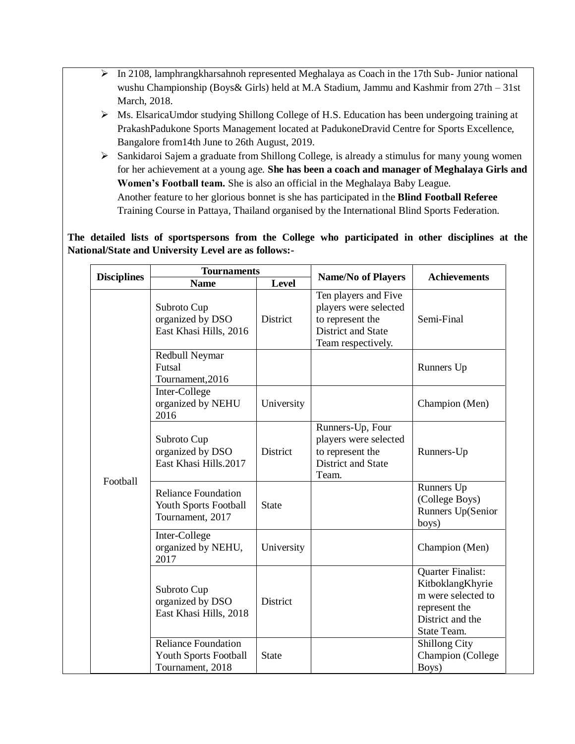- In 2108, lamphrangkharsahnoh represented Meghalaya as Coach in the 17th Sub- Junior national wushu Championship (Boys& Girls) held at M.A Stadium, Jammu and Kashmir from 27th – 31st March, 2018.
- Ms. ElsaricaUmdor studying Shillong College of H.S. Education has been undergoing training at PrakashPadukone Sports Management located at PadukoneDravid Centre for Sports Excellence, Bangalore from14th June to 26th August, 2019.
- Sankidaroi Sajem a graduate from Shillong College, is already a stimulus for many young women for her achievement at a young age. **She has been a coach and manager of Meghalaya Girls and Women's Football team.** She is also an official in the Meghalaya Baby League. Another feature to her glorious bonnet is she has participated in the **Blind Football Referee**  Training Course in Pattaya, Thailand organised by the International Blind Sports Federation.

# **The detailed lists of sportspersons from the College who participated in other disciplines at the National/State and University Level are as follows:-**

|                    | <b>Tournaments</b>                                                             |              |                                                                                                                      | <b>Achievements</b>                                                                                             |  |
|--------------------|--------------------------------------------------------------------------------|--------------|----------------------------------------------------------------------------------------------------------------------|-----------------------------------------------------------------------------------------------------------------|--|
| <b>Disciplines</b> | <b>Name</b>                                                                    | <b>Level</b> | <b>Name/No of Players</b>                                                                                            |                                                                                                                 |  |
|                    | Subroto Cup<br>organized by DSO<br>East Khasi Hills, 2016                      | District     | Ten players and Five<br>players were selected<br>to represent the<br><b>District and State</b><br>Team respectively. | Semi-Final                                                                                                      |  |
|                    | Redbull Neymar<br>Futsal<br>Tournament, 2016                                   |              |                                                                                                                      | Runners Up                                                                                                      |  |
|                    | Inter-College<br>organized by NEHU<br>2016                                     | University   |                                                                                                                      | Champion (Men)                                                                                                  |  |
| Football           | Subroto Cup<br>organized by DSO<br>East Khasi Hills.2017                       | District     | Runners-Up, Four<br>players were selected<br>to represent the<br><b>District and State</b><br>Team.                  | Runners-Up                                                                                                      |  |
|                    | <b>Reliance Foundation</b><br><b>Youth Sports Football</b><br>Tournament, 2017 | <b>State</b> |                                                                                                                      | Runners Up<br>(College Boys)<br>Runners Up(Senior<br>boys)                                                      |  |
|                    | Inter-College<br>organized by NEHU,<br>2017                                    | University   |                                                                                                                      | Champion (Men)                                                                                                  |  |
|                    | Subroto Cup<br>organized by DSO<br>East Khasi Hills, 2018                      | District     |                                                                                                                      | Quarter Finalist:<br>KitboklangKhyrie<br>m were selected to<br>represent the<br>District and the<br>State Team. |  |
|                    | <b>Reliance Foundation</b><br><b>Youth Sports Football</b><br>Tournament, 2018 | <b>State</b> |                                                                                                                      | <b>Shillong City</b><br>Champion (College<br>Boys)                                                              |  |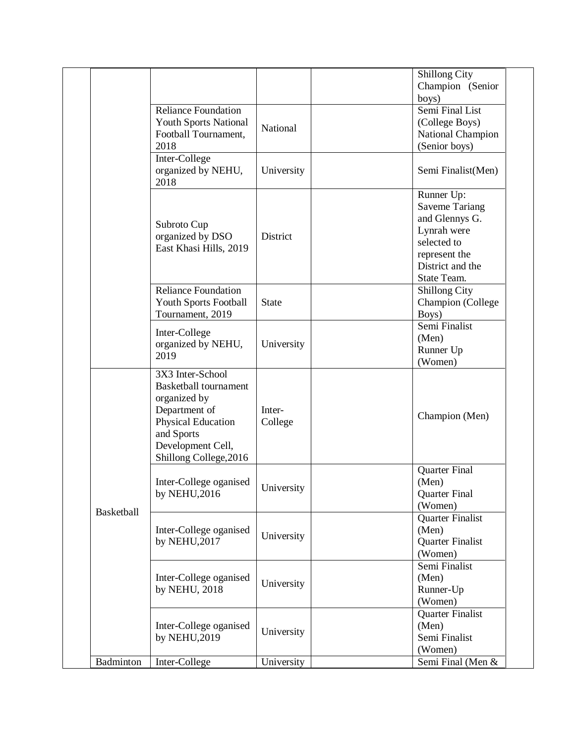|            |                                                                                                                                                                      |                   | <b>Shillong City</b><br>Champion (Senior<br>boys)                                                                                       |
|------------|----------------------------------------------------------------------------------------------------------------------------------------------------------------------|-------------------|-----------------------------------------------------------------------------------------------------------------------------------------|
|            | <b>Reliance Foundation</b><br>Youth Sports National<br>Football Tournament,<br>2018                                                                                  | National          | Semi Final List<br>(College Boys)<br>National Champion<br>(Senior boys)                                                                 |
|            | Inter-College<br>organized by NEHU,<br>2018                                                                                                                          | University        | Semi Finalist(Men)                                                                                                                      |
|            | Subroto Cup<br>organized by DSO<br>East Khasi Hills, 2019                                                                                                            | District          | Runner Up:<br><b>Saveme Tariang</b><br>and Glennys G.<br>Lynrah were<br>selected to<br>represent the<br>District and the<br>State Team. |
|            | <b>Reliance Foundation</b><br>Youth Sports Football<br>Tournament, 2019                                                                                              | <b>State</b>      | <b>Shillong City</b><br>Champion (College<br>Boys)                                                                                      |
|            | Inter-College<br>organized by NEHU,<br>2019                                                                                                                          | University        | Semi Finalist<br>(Men)<br>Runner Up<br>(Women)                                                                                          |
|            | 3X3 Inter-School<br><b>Basketball</b> tournament<br>organized by<br>Department of<br>Physical Education<br>and Sports<br>Development Cell,<br>Shillong College, 2016 | Inter-<br>College | Champion (Men)                                                                                                                          |
| Basketball | Inter-College oganised<br>by NEHU, 2016                                                                                                                              | University        | <b>Quarter Final</b><br>(Men)<br><b>Quarter Final</b><br>(Women)                                                                        |
|            | Inter-College oganised<br>by NEHU, 2017                                                                                                                              | University        | <b>Quarter Finalist</b><br>(Men)<br><b>Quarter Finalist</b><br>(Women)                                                                  |
|            | Inter-College oganised<br>by NEHU, 2018                                                                                                                              | University        | Semi Finalist<br>(Men)<br>Runner-Up<br>(Women)                                                                                          |
|            | Inter-College oganised<br>by NEHU, 2019                                                                                                                              | University        | Quarter Finalist<br>(Men)<br>Semi Finalist<br>(Women)                                                                                   |
| Badminton  | Inter-College                                                                                                                                                        | University        | Semi Final (Men &                                                                                                                       |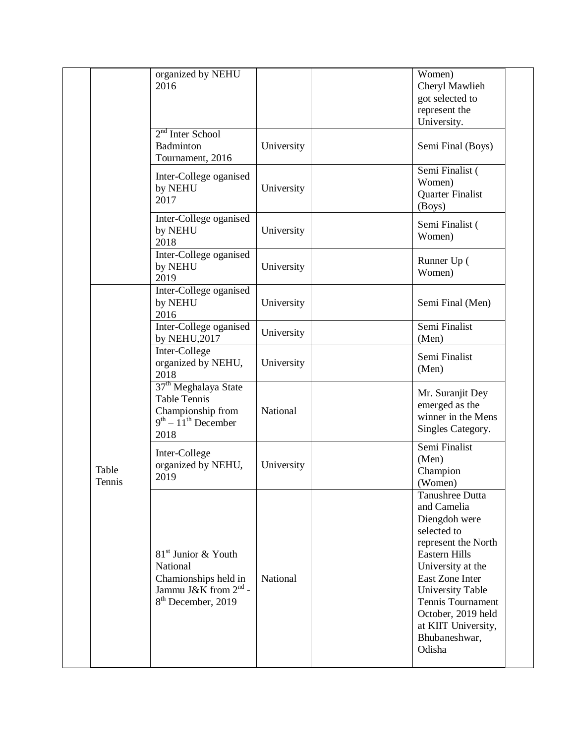|                 | organized by NEHU<br>2016                                                                                                |            | Women)<br>Cheryl Mawlieh<br>got selected to<br>represent the<br>University.                                                                                                                                                                                                   |  |
|-----------------|--------------------------------------------------------------------------------------------------------------------------|------------|-------------------------------------------------------------------------------------------------------------------------------------------------------------------------------------------------------------------------------------------------------------------------------|--|
|                 | $2nd$ Inter School<br>Badminton<br>Tournament, 2016                                                                      | University | Semi Final (Boys)                                                                                                                                                                                                                                                             |  |
|                 | Inter-College oganised<br>by NEHU<br>2017                                                                                | University | Semi Finalist (<br>Women)<br><b>Quarter Finalist</b><br>(Boys)                                                                                                                                                                                                                |  |
|                 | Inter-College oganised<br>by NEHU<br>2018                                                                                | University | Semi Finalist (<br>Women)                                                                                                                                                                                                                                                     |  |
|                 | Inter-College oganised<br>by NEHU<br>2019                                                                                | University | Runner Up (<br>Women)                                                                                                                                                                                                                                                         |  |
|                 | Inter-College oganised<br>by NEHU<br>2016                                                                                | University | Semi Final (Men)                                                                                                                                                                                                                                                              |  |
|                 | Inter-College oganised<br>by NEHU,2017                                                                                   | University | Semi Finalist<br>(Men)                                                                                                                                                                                                                                                        |  |
|                 | Inter-College<br>organized by NEHU,<br>2018                                                                              | University | Semi Finalist<br>(Men)                                                                                                                                                                                                                                                        |  |
|                 | 37 <sup>th</sup> Meghalaya State<br><b>Table Tennis</b><br>Championship from<br>$9th - 11th$ December<br>2018            | National   | Mr. Suranjit Dey<br>emerged as the<br>winner in the Mens<br>Singles Category.                                                                                                                                                                                                 |  |
| Table<br>Tennis | Inter-College<br>organized by NEHU,<br>2019                                                                              | University | Semi Finalist<br>(Men)<br>Champion<br>(Women)                                                                                                                                                                                                                                 |  |
|                 | $81st$ Junior & Youth<br>National<br>Chamionships held in<br>Jammu J&K from $2^{nd}$ -<br>8 <sup>th</sup> December, 2019 | National   | Tanushree Dutta<br>and Camelia<br>Diengdoh were<br>selected to<br>represent the North<br>Eastern Hills<br>University at the<br>East Zone Inter<br><b>University Table</b><br><b>Tennis Tournament</b><br>October, 2019 held<br>at KIIT University,<br>Bhubaneshwar,<br>Odisha |  |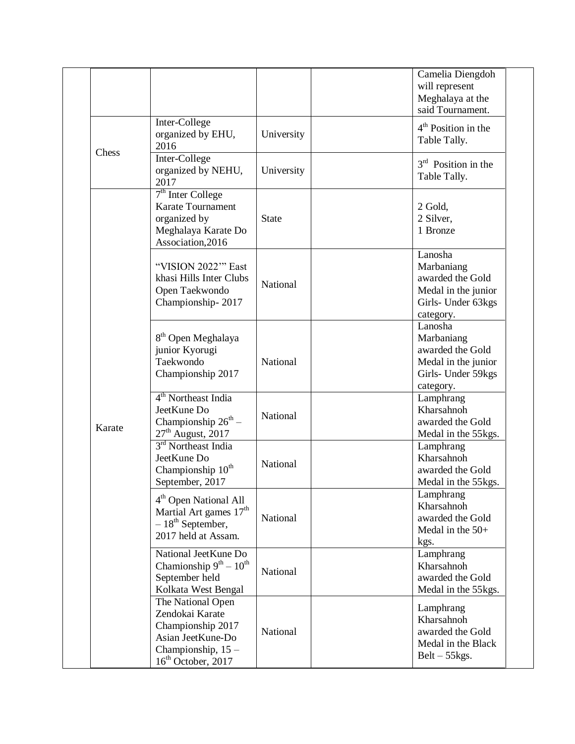|  |        |                                                                                                                                        |              | Camelia Diengdoh<br>will represent<br>Meghalaya at the<br>said Tournament.                          |  |
|--|--------|----------------------------------------------------------------------------------------------------------------------------------------|--------------|-----------------------------------------------------------------------------------------------------|--|
|  |        | Inter-College<br>organized by EHU,<br>2016                                                                                             | University   | $4th$ Position in the<br>Table Tally.                                                               |  |
|  | Chess  | Inter-College<br>organized by NEHU,<br>2017                                                                                            | University   | $3rd$ Position in the<br>Table Tally.                                                               |  |
|  |        | $7th$ Inter College<br><b>Karate Tournament</b><br>organized by<br>Meghalaya Karate Do<br>Association, 2016                            | <b>State</b> | 2 Gold,<br>2 Silver,<br>1 Bronze                                                                    |  |
|  |        | "VISION 2022"" East<br>khasi Hills Inter Clubs<br>Open Taekwondo<br>Championship-2017                                                  | National     | Lanosha<br>Marbaniang<br>awarded the Gold<br>Medal in the junior<br>Girls- Under 63kgs<br>category. |  |
|  |        | 8 <sup>th</sup> Open Meghalaya<br>junior Kyorugi<br>Taekwondo<br>Championship 2017                                                     | National     | Lanosha<br>Marbaniang<br>awarded the Gold<br>Medal in the junior<br>Girls- Under 59kgs<br>category. |  |
|  | Karate | 4 <sup>th</sup> Northeast India<br>JeetKune Do<br>Championship $26^{th}$ –<br>$27th$ August, 2017                                      | National     | Lamphrang<br>Kharsahnoh<br>awarded the Gold<br>Medal in the 55kgs.                                  |  |
|  |        | 3 <sup>rd</sup> Northeast India<br>JeetKune Do<br>Championship 10 <sup>th</sup><br>September, 2017                                     | National     | Lamphrang<br>Kharsahnoh<br>awarded the Gold<br>Medal in the 55 kgs.                                 |  |
|  |        | 4 <sup>th</sup> Open National All<br>Martial Art games 17 <sup>th</sup><br>$-18^{th}$ September,<br>2017 held at Assam.                | National     | Lamphrang<br>Kharsahnoh<br>awarded the Gold<br>Medal in the $50+$<br>kgs.                           |  |
|  |        | National JeetKune Do<br>Chamionship $9^{th} - 10^{th}$<br>September held<br>Kolkata West Bengal                                        | National     | Lamphrang<br>Kharsahnoh<br>awarded the Gold<br>Medal in the 55kgs.                                  |  |
|  |        | The National Open<br>Zendokai Karate<br>Championship 2017<br>Asian JeetKune-Do<br>Championship, 15 -<br>16 <sup>th</sup> October, 2017 | National     | Lamphrang<br>Kharsahnoh<br>awarded the Gold<br>Medal in the Black<br>$Belt - 55kgs.$                |  |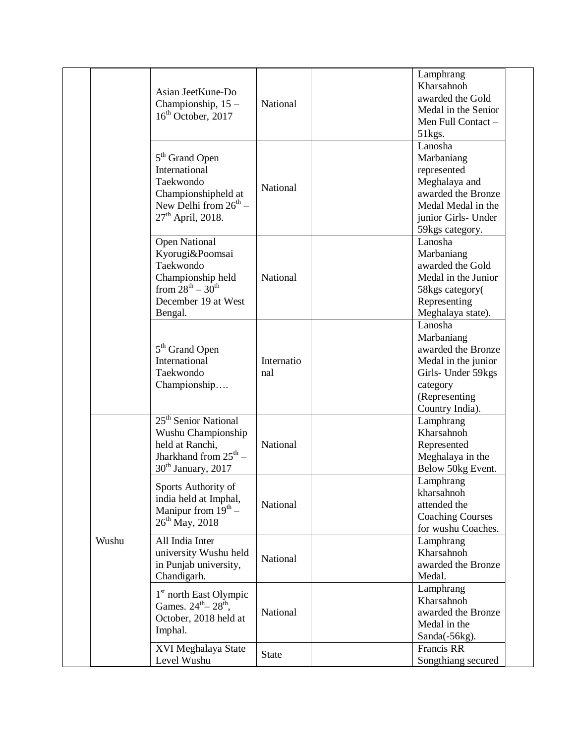|  |       | Asian JeetKune-Do<br>Championship, 15 -<br>$16th$ October, 2017                                                                                  | National          | Lamphrang<br>Kharsahnoh<br>awarded the Gold<br>Medal in the Senior<br>Men Full Contact -<br>$51$ kgs.                                       |  |
|--|-------|--------------------------------------------------------------------------------------------------------------------------------------------------|-------------------|---------------------------------------------------------------------------------------------------------------------------------------------|--|
|  |       | 5 <sup>th</sup> Grand Open<br>International<br>Taekwondo<br>Championshipheld at<br>New Delhi from $26^{\text{th}}$ –<br>$27th$ April, 2018.      | National          | Lanosha<br>Marbaniang<br>represented<br>Meghalaya and<br>awarded the Bronze<br>Medal Medal in the<br>junior Girls- Under<br>59kgs category. |  |
|  |       | <b>Open National</b><br>Kyorugi&Poomsai<br>Taekwondo<br>Championship held<br>from $28^{th} - 30^{th}$<br>December 19 at West<br>Bengal.          | National          | Lanosha<br>Marbaniang<br>awarded the Gold<br>Medal in the Junior<br>58kgs category(<br>Representing<br>Meghalaya state).                    |  |
|  |       | 5 <sup>th</sup> Grand Open<br>International<br>Taekwondo<br>Championship                                                                         | Internatio<br>nal | Lanosha<br>Marbaniang<br>awarded the Bronze<br>Medal in the junior<br>Girls- Under 59kgs<br>category<br>(Representing<br>Country India).    |  |
|  |       | 25 <sup>th</sup> Senior National<br>Wushu Championship<br>held at Ranchi,<br>Jharkhand from $25^{\text{th}}$ -<br>30 <sup>th</sup> January, 2017 | National          | Lamphrang<br>Kharsahnoh<br>Represented<br>Meghalaya in the<br>Below 50kg Event.                                                             |  |
|  | Wushu | Sports Authority of<br>india held at Imphal,<br>Manipur from $19^{th}$ –<br>$26^{th}$ May, 2018                                                  | National          | Lamphrang<br>kharsahnoh<br>attended the<br><b>Coaching Courses</b><br>for wushu Coaches.                                                    |  |
|  |       | All India Inter<br>university Wushu held<br>in Punjab university,<br>Chandigarh.                                                                 | National          | Lamphrang<br>Kharsahnoh<br>awarded the Bronze<br>Medal.                                                                                     |  |
|  |       | 1 <sup>st</sup> north East Olympic<br>Games. $24^{th} - 28^{th}$ ,<br>October, 2018 held at<br>Imphal.                                           | National          | Lamphrang<br>Kharsahnoh<br>awarded the Bronze<br>Medal in the<br>Sanda(-56kg).                                                              |  |
|  |       | XVI Meghalaya State<br>Level Wushu                                                                                                               | <b>State</b>      | Francis RR<br>Songthiang secured                                                                                                            |  |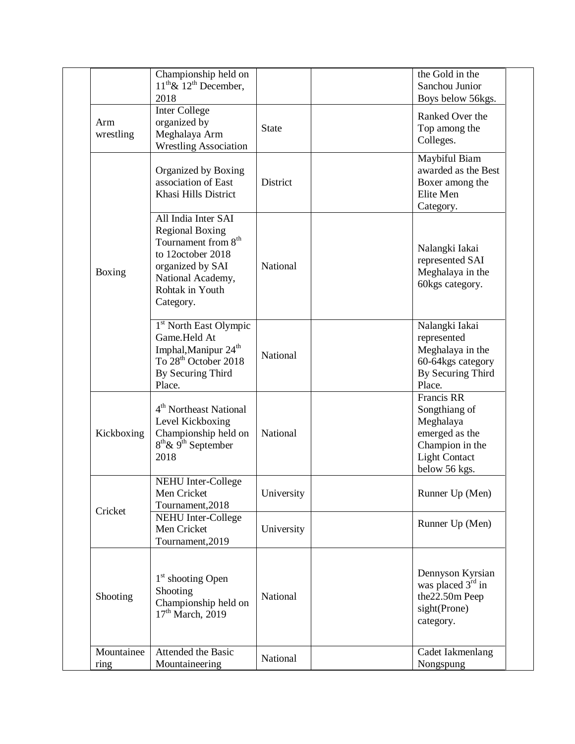|                    | Championship held on<br>$11^{th}$ & $12^{th}$ December,<br>2018                                                                                                                |              | the Gold in the<br>Sanchou Junior<br>Boys below 56kgs.                                                                 |
|--------------------|--------------------------------------------------------------------------------------------------------------------------------------------------------------------------------|--------------|------------------------------------------------------------------------------------------------------------------------|
| Arm<br>wrestling   | Inter College<br>organized by<br>Meghalaya Arm<br><b>Wrestling Association</b>                                                                                                 | <b>State</b> | Ranked Over the<br>Top among the<br>Colleges.                                                                          |
|                    | Organized by Boxing<br>association of East<br>Khasi Hills District                                                                                                             | District     | Maybiful Biam<br>awarded as the Best<br>Boxer among the<br>Elite Men<br>Category.                                      |
| Boxing             | All India Inter SAI<br><b>Regional Boxing</b><br>Tournament from 8 <sup>th</sup><br>to 12october 2018<br>organized by SAI<br>National Academy,<br>Rohtak in Youth<br>Category. | National     | Nalangki Iakai<br>represented SAI<br>Meghalaya in the<br>60kgs category.                                               |
|                    | 1 <sup>st</sup> North East Olympic<br>Game.Held At<br>Imphal, Manipur 24 <sup>th</sup><br>To 28 <sup>th</sup> October 2018<br>By Securing Third<br>Place.                      | National     | Nalangki Iakai<br>represented<br>Meghalaya in the<br>60-64kgs category<br>By Securing Third<br>Place.                  |
| Kickboxing         | 4 <sup>th</sup> Northeast National<br>Level Kickboxing<br>Championship held on<br>$8th \& 9th$ September<br>2018                                                               | National     | Francis RR<br>Songthiang of<br>Meghalaya<br>emerged as the<br>Champion in the<br><b>Light Contact</b><br>below 56 kgs. |
| Cricket            | <b>NEHU</b> Inter-College<br>Men Cricket<br>Tournament, 2018                                                                                                                   | University   | Runner Up (Men)                                                                                                        |
|                    | <b>NEHU</b> Inter-College<br>Men Cricket<br>Tournament, 2019                                                                                                                   | University   | Runner Up (Men)                                                                                                        |
| Shooting           | $1st$ shooting Open<br>Shooting<br>Championship held on<br>$17th$ March, 2019                                                                                                  | National     | Dennyson Kyrsian<br>was placed $3rd$ in<br>the 22.50m Peep<br>sight(Prone)<br>category.                                |
| Mountainee<br>ring | Attended the Basic<br>Mountaineering                                                                                                                                           | National     | Cadet Iakmenlang<br>Nongspung                                                                                          |